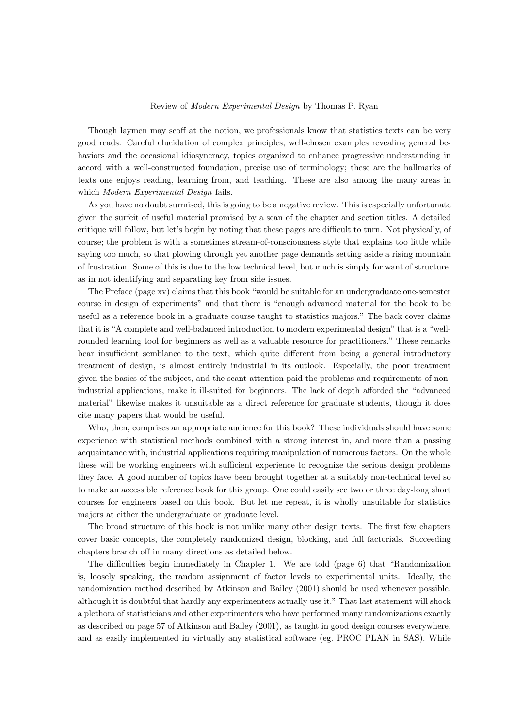## Review of Modern Experimental Design by Thomas P. Ryan

Though laymen may scoff at the notion, we professionals know that statistics texts can be very good reads. Careful elucidation of complex principles, well-chosen examples revealing general behaviors and the occasional idiosyncracy, topics organized to enhance progressive understanding in accord with a well-constructed foundation, precise use of terminology; these are the hallmarks of texts one enjoys reading, learning from, and teaching. These are also among the many areas in which Modern Experimental Design fails.

As you have no doubt surmised, this is going to be a negative review. This is especially unfortunate given the surfeit of useful material promised by a scan of the chapter and section titles. A detailed critique will follow, but let's begin by noting that these pages are difficult to turn. Not physically, of course; the problem is with a sometimes stream-of-consciousness style that explains too little while saying too much, so that plowing through yet another page demands setting aside a rising mountain of frustration. Some of this is due to the low technical level, but much is simply for want of structure, as in not identifying and separating key from side issues.

The Preface (page xv) claims that this book "would be suitable for an undergraduate one-semester course in design of experiments" and that there is "enough advanced material for the book to be useful as a reference book in a graduate course taught to statistics majors." The back cover claims that it is "A complete and well-balanced introduction to modern experimental design" that is a "wellrounded learning tool for beginners as well as a valuable resource for practitioners." These remarks bear insufficient semblance to the text, which quite different from being a general introductory treatment of design, is almost entirely industrial in its outlook. Especially, the poor treatment given the basics of the subject, and the scant attention paid the problems and requirements of nonindustrial applications, make it ill-suited for beginners. The lack of depth afforded the "advanced material" likewise makes it unsuitable as a direct reference for graduate students, though it does cite many papers that would be useful.

Who, then, comprises an appropriate audience for this book? These individuals should have some experience with statistical methods combined with a strong interest in, and more than a passing acquaintance with, industrial applications requiring manipulation of numerous factors. On the whole these will be working engineers with sufficient experience to recognize the serious design problems they face. A good number of topics have been brought together at a suitably non-technical level so to make an accessible reference book for this group. One could easily see two or three day-long short courses for engineers based on this book. But let me repeat, it is wholly unsuitable for statistics majors at either the undergraduate or graduate level.

The broad structure of this book is not unlike many other design texts. The first few chapters cover basic concepts, the completely randomized design, blocking, and full factorials. Succeeding chapters branch off in many directions as detailed below.

The difficulties begin immediately in Chapter 1. We are told (page 6) that "Randomization is, loosely speaking, the random assignment of factor levels to experimental units. Ideally, the randomization method described by Atkinson and Bailey (2001) should be used whenever possible, although it is doubtful that hardly any experimenters actually use it." That last statement will shock a plethora of statisticians and other experimenters who have performed many randomizations exactly as described on page 57 of Atkinson and Bailey (2001), as taught in good design courses everywhere, and as easily implemented in virtually any statistical software (eg. PROC PLAN in SAS). While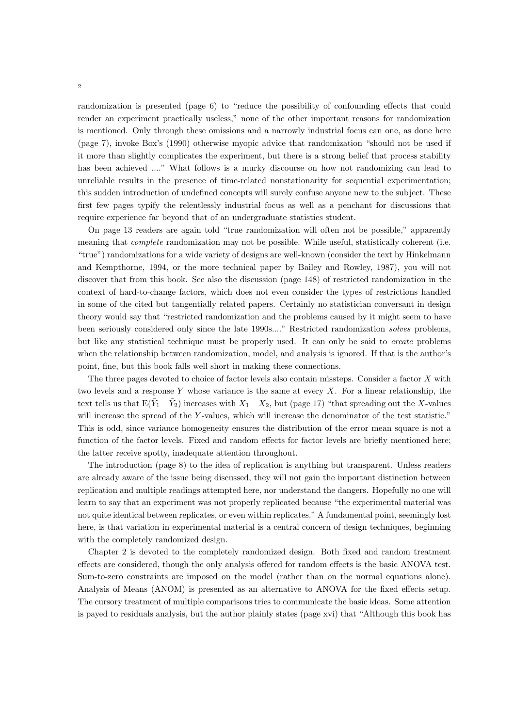randomization is presented (page 6) to "reduce the possibility of confounding effects that could render an experiment practically useless," none of the other important reasons for randomization is mentioned. Only through these omissions and a narrowly industrial focus can one, as done here (page 7), invoke Box's (1990) otherwise myopic advice that randomization "should not be used if it more than slightly complicates the experiment, but there is a strong belief that process stability has been achieved ...." What follows is a murky discourse on how not randomizing can lead to unreliable results in the presence of time-related nonstationarity for sequential experimentation; this sudden introduction of undefined concepts will surely confuse anyone new to the subject. These first few pages typify the relentlessly industrial focus as well as a penchant for discussions that require experience far beyond that of an undergraduate statistics student.

On page 13 readers are again told "true randomization will often not be possible," apparently meaning that *complete* randomization may not be possible. While useful, statistically coherent (i.e. "true") randomizations for a wide variety of designs are well-known (consider the text by Hinkelmann and Kempthorne, 1994, or the more technical paper by Bailey and Rowley, 1987), you will not discover that from this book. See also the discussion (page 148) of restricted randomization in the context of hard-to-change factors, which does not even consider the types of restrictions handled in some of the cited but tangentially related papers. Certainly no statistician conversant in design theory would say that "restricted randomization and the problems caused by it might seem to have been seriously considered only since the late 1990s...." Restricted randomization solves problems, but like any statistical technique must be properly used. It can only be said to create problems when the relationship between randomization, model, and analysis is ignored. If that is the author's point, fine, but this book falls well short in making these connections.

The three pages devoted to choice of factor levels also contain missteps. Consider a factor  $X$  with two levels and a response Y whose variance is the same at every  $X$ . For a linear relationship, the text tells us that  $E(\bar{Y}_1 - \bar{Y}_2)$  increases with  $X_1 - X_2$ , but (page 17) "that spreading out the X-values will increase the spread of the Y-values, which will increase the denominator of the test statistic." This is odd, since variance homogeneity ensures the distribution of the error mean square is not a function of the factor levels. Fixed and random effects for factor levels are briefly mentioned here; the latter receive spotty, inadequate attention throughout.

The introduction (page 8) to the idea of replication is anything but transparent. Unless readers are already aware of the issue being discussed, they will not gain the important distinction between replication and multiple readings attempted here, nor understand the dangers. Hopefully no one will learn to say that an experiment was not properly replicated because "the experimental material was not quite identical between replicates, or even within replicates." A fundamental point, seemingly lost here, is that variation in experimental material is a central concern of design techniques, beginning with the completely randomized design.

Chapter 2 is devoted to the completely randomized design. Both fixed and random treatment effects are considered, though the only analysis offered for random effects is the basic ANOVA test. Sum-to-zero constraints are imposed on the model (rather than on the normal equations alone). Analysis of Means (ANOM) is presented as an alternative to ANOVA for the fixed effects setup. The cursory treatment of multiple comparisons tries to communicate the basic ideas. Some attention is payed to residuals analysis, but the author plainly states (page xvi) that "Although this book has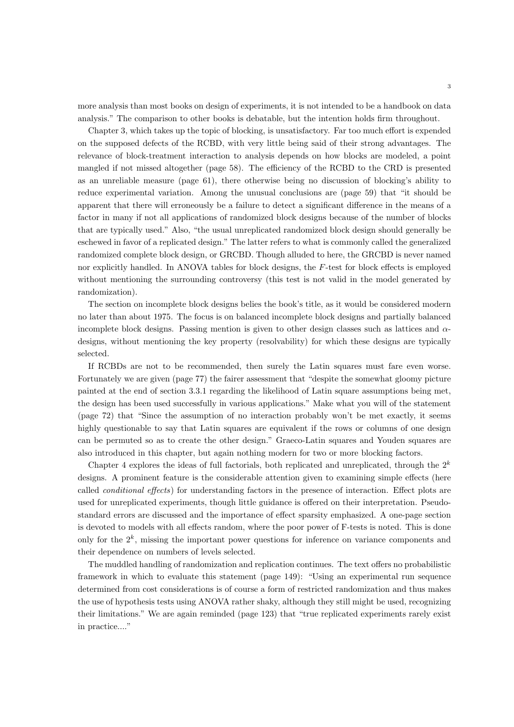more analysis than most books on design of experiments, it is not intended to be a handbook on data analysis." The comparison to other books is debatable, but the intention holds firm throughout.

Chapter 3, which takes up the topic of blocking, is unsatisfactory. Far too much effort is expended on the supposed defects of the RCBD, with very little being said of their strong advantages. The relevance of block-treatment interaction to analysis depends on how blocks are modeled, a point mangled if not missed altogether (page 58). The efficiency of the RCBD to the CRD is presented as an unreliable measure (page 61), there otherwise being no discussion of blocking's ability to reduce experimental variation. Among the unusual conclusions are (page 59) that "it should be apparent that there will erroneously be a failure to detect a significant difference in the means of a factor in many if not all applications of randomized block designs because of the number of blocks that are typically used." Also, "the usual unreplicated randomized block design should generally be eschewed in favor of a replicated design." The latter refers to what is commonly called the generalized randomized complete block design, or GRCBD. Though alluded to here, the GRCBD is never named nor explicitly handled. In ANOVA tables for block designs, the F-test for block effects is employed without mentioning the surrounding controversy (this test is not valid in the model generated by randomization).

The section on incomplete block designs belies the book's title, as it would be considered modern no later than about 1975. The focus is on balanced incomplete block designs and partially balanced incomplete block designs. Passing mention is given to other design classes such as lattices and  $\alpha$ designs, without mentioning the key property (resolvability) for which these designs are typically selected.

If RCBDs are not to be recommended, then surely the Latin squares must fare even worse. Fortunately we are given (page 77) the fairer assessment that "despite the somewhat gloomy picture painted at the end of section 3.3.1 regarding the likelihood of Latin square assumptions being met, the design has been used successfully in various applications." Make what you will of the statement (page 72) that "Since the assumption of no interaction probably won't be met exactly, it seems highly questionable to say that Latin squares are equivalent if the rows or columns of one design can be permuted so as to create the other design." Graeco-Latin squares and Youden squares are also introduced in this chapter, but again nothing modern for two or more blocking factors.

Chapter 4 explores the ideas of full factorials, both replicated and unreplicated, through the  $2^k$ designs. A prominent feature is the considerable attention given to examining simple effects (here called conditional effects) for understanding factors in the presence of interaction. Effect plots are used for unreplicated experiments, though little guidance is offered on their interpretation. Pseudostandard errors are discussed and the importance of effect sparsity emphasized. A one-page section is devoted to models with all effects random, where the poor power of F-tests is noted. This is done only for the  $2^k$ , missing the important power questions for inference on variance components and their dependence on numbers of levels selected.

The muddled handling of randomization and replication continues. The text offers no probabilistic framework in which to evaluate this statement (page 149): "Using an experimental run sequence determined from cost considerations is of course a form of restricted randomization and thus makes the use of hypothesis tests using ANOVA rather shaky, although they still might be used, recognizing their limitations." We are again reminded (page 123) that "true replicated experiments rarely exist in practice...."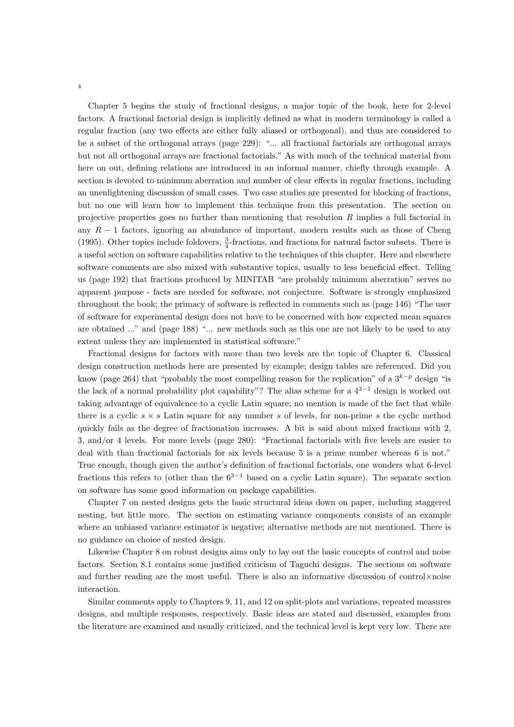Chapter 5 begins the study of fractional designs, a major topic of the book, here for 2-level factors. A fractional factorial design is implicitly defined as what in modern terminology is called a regular fraction (any two effects are either fully aliased or orthogonal), and thus are considered to be a subset of the orthogonal arrays (page 229): "... all fractional factorials are orthogonal arrays but not all orthogonal arrays are fractional factorials." As with much of the technical material from here on out, defining relations are introduced in an informal manner, chiefly through example. A section is devoted to minimum aberration and number of clear effects in regular fractions, including an unenlightening discussion of small cases. Two case studies are presented for blocking of fractions, but no one will learn how to implement this technique from this presentation. The section on projective properties goes no further than mentioning that resolution  $R$  implies a full factorial in any  $R-1$  factors, ignoring an abundance of important, modern results such as those of Cheng (1995). Other topics include foldovers,  $\frac{3}{4}$ -fractions, and fractions for natural factor subsets. There is a useful section on software capabilities relative to the techniques of this chapter. Here and elsewhere software comments are also mixed with substantive topics, usually to less beneficial effect. Telling us (page 192) that fractions produced by MINITAB "are probably minimum aberration" serves no apparent purpose - facts are needed for software, not conjecture. Software is strongly emphasized throughout the book; the primacy of software is reflected in comments such as (page 146) "The user of software for experimental design does not have to be concerned with how expected mean squares are obtained ..." and (page 188) "... new methods such as this one are not likely to be used to any extent unless they are implemented in statistical software."

Fractional designs for factors with more than two levels are the topic of Chapter 6. Classical design construction methods here are presented by example; design tables are referenced. Did you know (page 264) that "probably the most compelling reason for the replication" of a  $3^{k-p}$  design "is the lack of a normal probability plot capability"? The alias scheme for a  $4^{3-1}$  design is worked out taking advantage of equivalence to a cyclic Latin square; no mention is made of the fact that while there is a cyclic  $s \times s$  Latin square for any number s of levels, for non-prime s the cyclic method quickly fails as the degree of fractionation increases. A bit is said about mixed fractions with 2, 3, and/or 4 levels. For more levels (page 280): "Fractional factorials with five levels are easier to deal with than fractional factorials for six levels because 5 is a prime number whereas 6 is not." True enough, though given the author's definition of fractional factorials, one wonders what 6-level fractions this refers to (other than the  $6^{3-1}$  based on a cyclic Latin square). The separate section on software has some good information on package capabilities.

Chapter 7 on nested designs gets the basic structural ideas down on paper, including staggered nesting, but little more. The section on estimating variance components consists of an example where an unbiased variance estimator is negative; alternative methods are not mentioned. There is no guidance on choice of nested design.

Likewise Chapter 8 on robust designs aims only to lay out the basic concepts of control and noise factors. Section 8.1 contains some justified criticism of Taguchi designs. The sections on software and further reading are the most useful. There is also an informative discussion of control×noise interaction.

Similar comments apply to Chapters 9, 11, and 12 on split-plots and variations, repeated measures designs, and multiple responses, respectively. Basic ideas are stated and discussed, examples from the literature are examined and usually criticized, and the technical level is kept very low. There are